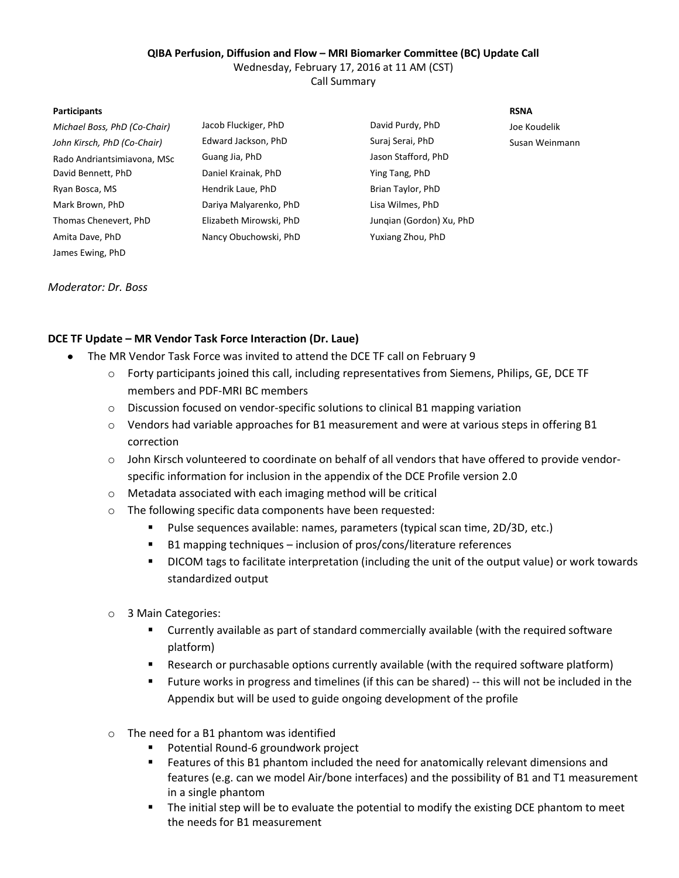## **QIBA Perfusion, Diffusion and Flow – MRI Biomarker Committee (BC) Update Call**

Wednesday, February 17, 2016 at 11 AM (CST)

Call Summary

#### **Participants RSNA**

| Michael Boss, PhD (Co-Chair) | Jacob Fluckiger, PhD    | David Purdy, PhD         | Joe Koudelik   |
|------------------------------|-------------------------|--------------------------|----------------|
| John Kirsch, PhD (Co-Chair)  | Edward Jackson, PhD     | Suraj Serai, PhD         | Susan Weinmann |
| Rado Andriantsimiavona, MSc  | Guang Jia, PhD          | Jason Stafford, PhD      |                |
| David Bennett, PhD           | Daniel Krainak, PhD     | Ying Tang, PhD           |                |
| Ryan Bosca, MS               | Hendrik Laue, PhD       | Brian Taylor, PhD        |                |
| Mark Brown, PhD              | Dariya Malyarenko, PhD  | Lisa Wilmes, PhD         |                |
| Thomas Chenevert, PhD        | Elizabeth Mirowski, PhD | Jungian (Gordon) Xu, PhD |                |
| Amita Dave, PhD              | Nancy Obuchowski, PhD   | Yuxiang Zhou, PhD        |                |
| James Ewing, PhD             |                         |                          |                |

### *Moderator: Dr. Boss*

# **DCE TF Update – MR Vendor Task Force Interaction (Dr. Laue)**

- The MR Vendor Task Force was invited to attend the DCE TF call on February 9
	- o Forty participants joined this call, including representatives from Siemens, Philips, GE, DCE TF members and PDF-MRI BC members
	- o Discussion focused on vendor-specific solutions to clinical B1 mapping variation
	- o Vendors had variable approaches for B1 measurement and were at various steps in offering B1 correction
	- o John Kirsch volunteered to coordinate on behalf of all vendors that have offered to provide vendorspecific information for inclusion in the appendix of the DCE Profile version 2.0
	- o Metadata associated with each imaging method will be critical
	- o The following specific data components have been requested:
		- Pulse sequences available: names, parameters (typical scan time, 2D/3D, etc.)
		- B1 mapping techniques inclusion of pros/cons/literature references
		- DICOM tags to facilitate interpretation (including the unit of the output value) or work towards standardized output
	- o 3 Main Categories:
		- Currently available as part of standard commercially available (with the required software platform)
		- Research or purchasable options currently available (with the required software platform)
		- Future works in progress and timelines (if this can be shared) -- this will not be included in the Appendix but will be used to guide ongoing development of the profile
	- o The need for a B1 phantom was identified
		- **Potential Round-6 groundwork project**
		- **Features of this B1 phantom included the need for anatomically relevant dimensions and** features (e.g. can we model Air/bone interfaces) and the possibility of B1 and T1 measurement in a single phantom
		- The initial step will be to evaluate the potential to modify the existing DCE phantom to meet the needs for B1 measurement